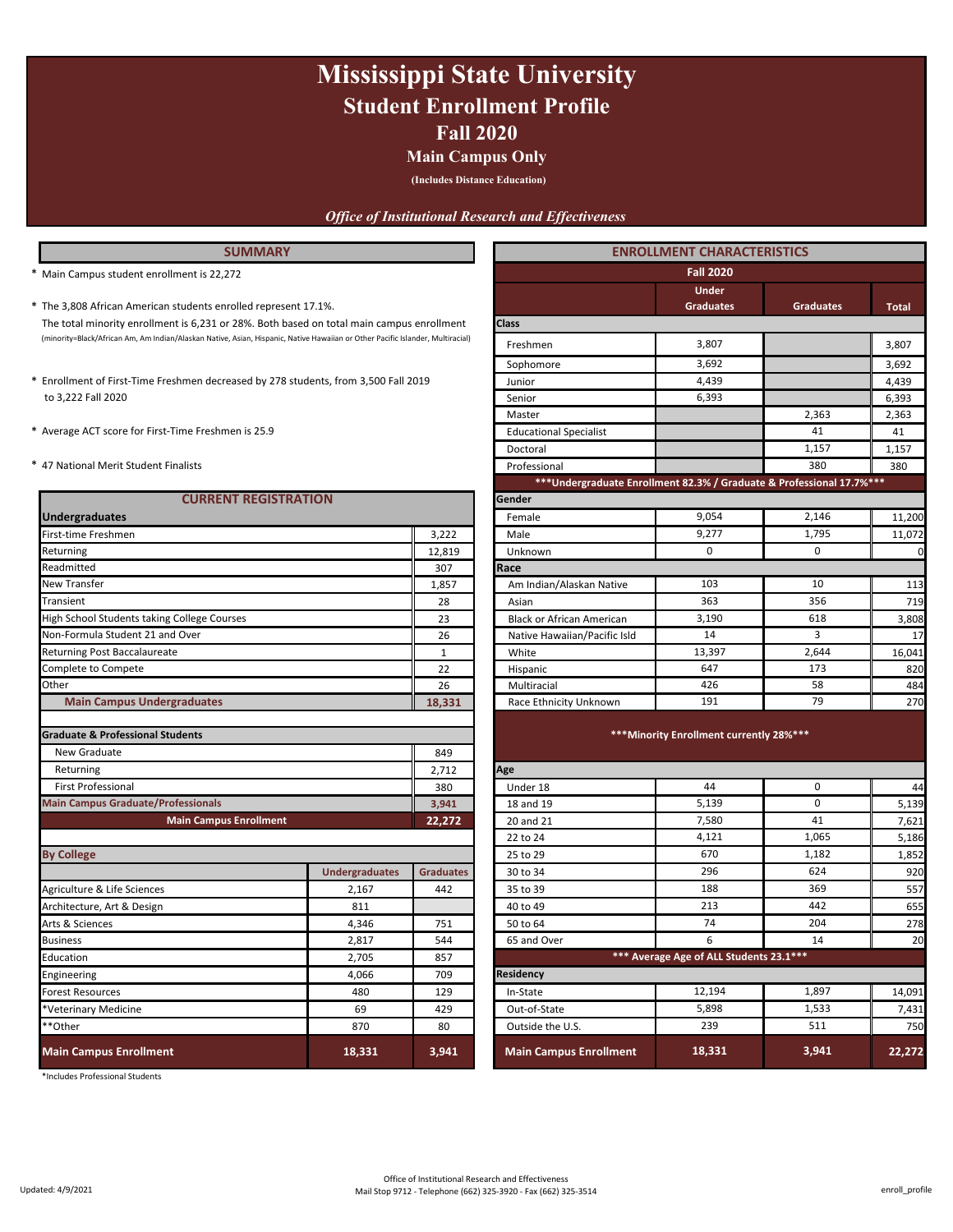## **Fall 2020 Mississippi State University Student Enrollment Profile**

### **Main Campus Only**

**(Includes Distance Education)**

### *Office of Institutional Research and Effectiveness*

### **ENROLLMENT CHARACTERISTICS**

- \* **Total** The 3,808 African American students enrolled represent 17.1%. **Graduates Graduates** (minority=Black/African Am, Am Indian/Alaskan Native, Asian, Hispanic, Native Hawaiian or Other Pacific Islander, Multiracial) 3,807 The total minority enrollment is 6,231 or 28%. Both based on total main campus enrollment
- to 3,222 Fall 2020
- 
- 

| <b>CURRENT REGISTRATION</b>                                 |                       |                  | Gender                                   |                                          |             |              |
|-------------------------------------------------------------|-----------------------|------------------|------------------------------------------|------------------------------------------|-------------|--------------|
| <b>Undergraduates</b>                                       |                       |                  | Female                                   | 9,054                                    | 2,146       | 11,200       |
| First-time Freshmen                                         |                       | 3,222            | Male                                     | 9,277                                    | 1,795       | 11,072       |
| Returning                                                   |                       | 12,819           | Unknown                                  | $\mathbf 0$                              | 0           | $\mathsf{C}$ |
| Readmitted                                                  |                       | 307              | Race                                     |                                          |             |              |
| <b>New Transfer</b>                                         |                       | 1,857            | Am Indian/Alaskan Native                 | 103                                      | 10          | 113          |
| Transient                                                   |                       | 28               | Asian                                    | 363                                      | 356         | 719          |
| High School Students taking College Courses                 |                       | 23               | <b>Black or African American</b>         | 3,190                                    | 618         | 3,808        |
| Non-Formula Student 21 and Over                             |                       | 26               | Native Hawaiian/Pacific Isld             | 14                                       | 3           | 17           |
| <b>Returning Post Baccalaureate</b>                         |                       | $\mathbf{1}$     | White                                    | 13,397                                   | 2,644       | 16,041       |
| Complete to Compete                                         |                       | 22               | Hispanic                                 | 647                                      | 173         | 820          |
| Other                                                       |                       | 26               | Multiracial                              | 426                                      | 58          | 484          |
| <b>Main Campus Undergraduates</b>                           |                       | 18,331           | Race Ethnicity Unknown                   | 191                                      | 79          | 270          |
| <b>Graduate &amp; Professional Students</b><br>New Graduate |                       |                  |                                          | *** Minority Enrollment currently 28%*** |             |              |
| Returning                                                   |                       | 2,712            | Age                                      |                                          |             |              |
| <b>First Professional</b>                                   |                       | 380              | Under 18                                 | 44                                       | $\mathbf 0$ | 44           |
| <b>Main Campus Graduate/Professionals</b>                   |                       | 3,941            | 18 and 19                                | 5,139                                    | $\mathbf 0$ | 5,139        |
| <b>Main Campus Enrollment</b>                               |                       | 22,272           | 20 and 21                                | 7,580                                    | 41          | 7,621        |
|                                                             |                       |                  | 22 to 24                                 | 4,121                                    | 1.065       | 5,186        |
| <b>By College</b>                                           |                       |                  | 25 to 29                                 | 670                                      | 1,182       | 1,852        |
|                                                             | <b>Undergraduates</b> | <b>Graduates</b> | 30 to 34                                 | 296                                      | 624         | 920          |
| Agriculture & Life Sciences                                 | 2,167                 | 442              | 35 to 39                                 | 188                                      | 369         | 557          |
| Architecture, Art & Design                                  | 811                   |                  | 40 to 49                                 | 213                                      | 442         | 655          |
| Arts & Sciences                                             | 4,346                 | 751              | 50 to 64                                 | 74                                       | 204         | 278          |
| <b>Business</b>                                             | 2,817                 | 544              | 65 and Over                              | 6                                        | 14          | 20           |
| Education<br>2,705                                          |                       | 857              | *** Average Age of ALL Students 23.1 *** |                                          |             |              |
| Engineering                                                 | 4,066                 | 709              | <b>Residency</b>                         |                                          |             |              |
| <b>Forest Resources</b>                                     | 480                   | 129              | In-State                                 | 12,194                                   | 1,897       | 14,091       |
| *Veterinary Medicine                                        | 69                    | 429              | Out-of-State                             | 5,898                                    | 1,533       | 7,431        |
| **Other                                                     | 870                   | 80               | Outside the U.S.                         | 239                                      | 511         | 750          |
| <b>Main Campus Enrollment</b>                               | 18,331                | 3,941            | <b>Main Campus Enrollment</b>            | 18,331                                   | 3,941       | 22,272       |

\*Includes Professional Students

| * Main Campus student enrollment is 22,272                                                                                     |        | <b>Fall 2020</b>                                                      |                                  |                  |              |  |
|--------------------------------------------------------------------------------------------------------------------------------|--------|-----------------------------------------------------------------------|----------------------------------|------------------|--------------|--|
| * The 3,808 African American students enrolled represent 17.1%.                                                                |        |                                                                       | <b>Under</b><br><b>Graduates</b> | <b>Graduates</b> | <b>Total</b> |  |
| The total minority enrollment is 6,231 or 28%. Both based on total main campus enrollment                                      |        | <b>Class</b>                                                          |                                  |                  |              |  |
| (minority=Black/African Am, Am Indian/Alaskan Native, Asian, Hispanic, Native Hawaiian or Other Pacific Islander, Multiracial) |        | Freshmen                                                              | 3,807                            |                  | 3,807        |  |
|                                                                                                                                |        | Sophomore                                                             | 3,692                            |                  | 3,692        |  |
| * Enrollment of First-Time Freshmen decreased by 278 students, from 3,500 Fall 2019                                            |        | Junior                                                                | 4,439                            |                  | 4,439        |  |
| to 3,222 Fall 2020                                                                                                             |        | Senior                                                                | 6,393                            |                  | 6,393        |  |
|                                                                                                                                |        | Master                                                                |                                  | 2.363            | 2,363        |  |
| * Average ACT score for First-Time Freshmen is 25.9                                                                            |        | <b>Educational Specialist</b>                                         |                                  | 41               | 41           |  |
|                                                                                                                                |        | Doctoral                                                              |                                  | 1,157            | 1,157        |  |
| * 47 National Merit Student Finalists                                                                                          |        | Professional                                                          |                                  | 380              | 380          |  |
|                                                                                                                                |        | *** Undergraduate Enrollment 82.3% / Graduate & Professional 17.7%*** |                                  |                  |              |  |
| <b>CURRENT REGISTRATION</b>                                                                                                    |        | Gender                                                                |                                  |                  |              |  |
| <b>Undergraduates</b>                                                                                                          |        | Female                                                                | 9.054                            | 2,146            | 11,200       |  |
| First-time Freshmen                                                                                                            | 3,222  | Male                                                                  | 9,277                            | 1,795            | 11,072       |  |
| Returning                                                                                                                      | 12,819 | Unknown                                                               | 0                                | 0                | C            |  |
| Readmitted                                                                                                                     | 307    | Race                                                                  |                                  |                  |              |  |
| <b>New Transfer</b>                                                                                                            | 1,857  | Am Indian/Alaskan Native                                              | 103                              | 10               | 113          |  |
| Transient                                                                                                                      | 28     | Asian                                                                 | 363                              | 356              | 719          |  |
| High School Students taking College Courses                                                                                    | 23     | <b>Black or African American</b>                                      | 3,190                            | 618              | 3,808        |  |
| Non-Formula Student 21 and Over                                                                                                | 26     | Native Hawaiian/Pacific Isld                                          | 14                               | 3                | 17           |  |
| <b>Returning Post Baccalaureate</b>                                                                                            | 1      | White                                                                 | 13,397                           | 2,644            | 16,041       |  |
| Complete to Compete                                                                                                            | 22     | Hispanic                                                              | 647                              | 173              | 820          |  |
| Other                                                                                                                          | 26     | Multiracial                                                           | 426                              | 58               | 484          |  |
| <b>Main Campus Undergraduates</b>                                                                                              | 18,331 | Race Ethnicity Unknown                                                | 191                              | 79               | 27C          |  |

#### **\*\*\*Minority Enrollment currently 28%\*\*\***

|                               |                       | 849              |                               |                                          |       |        |
|-------------------------------|-----------------------|------------------|-------------------------------|------------------------------------------|-------|--------|
|                               |                       | 2,712            | Age                           |                                          |       |        |
|                               |                       | 380              | Under 18                      | 44                                       | 0     | 44     |
| rofessionals                  |                       | 3,941            | 18 and 19                     | 5,139                                    | 0     | 5,139  |
| <b>Main Campus Enrollment</b> |                       | 22,272           | 20 and 21                     | 7,580                                    | 41    | 7,621  |
|                               |                       |                  | 22 to 24                      | 4,121                                    | 1,065 | 5,186  |
|                               |                       |                  | 25 to 29                      | 670                                      | 1,182 | 1,852  |
|                               | <b>Undergraduates</b> | <b>Graduates</b> | 30 to 34                      | 296                                      | 624   | 920    |
|                               | 2,167                 | 442              | 35 to 39                      | 188                                      | 369   | 557    |
|                               | 811                   |                  | 40 to 49                      | 213                                      | 442   | 655    |
|                               | 4,346                 | 751              | 50 to 64                      | 74                                       | 204   | 278    |
|                               | 2,817                 | 544              | 65 and Over                   | 6                                        | 14    | 20     |
|                               | 2,705                 | 857              |                               | *** Average Age of ALL Students 23.1 *** |       |        |
|                               | 4,066                 | 709              | <b>Residency</b>              |                                          |       |        |
|                               | 480                   | 129              | In-State                      | 12,194                                   | 1,897 | 14,091 |
|                               | 69                    | 429              | Out-of-State                  | 5,898                                    | 1,533 | 7,431  |
|                               | 870                   | 80               | Outside the U.S.              | 239                                      | 511   | 750    |
| ìt.                           | 18,331                | 3,941            | <b>Main Campus Enrollment</b> | 18,331                                   | 3,941 | 22,272 |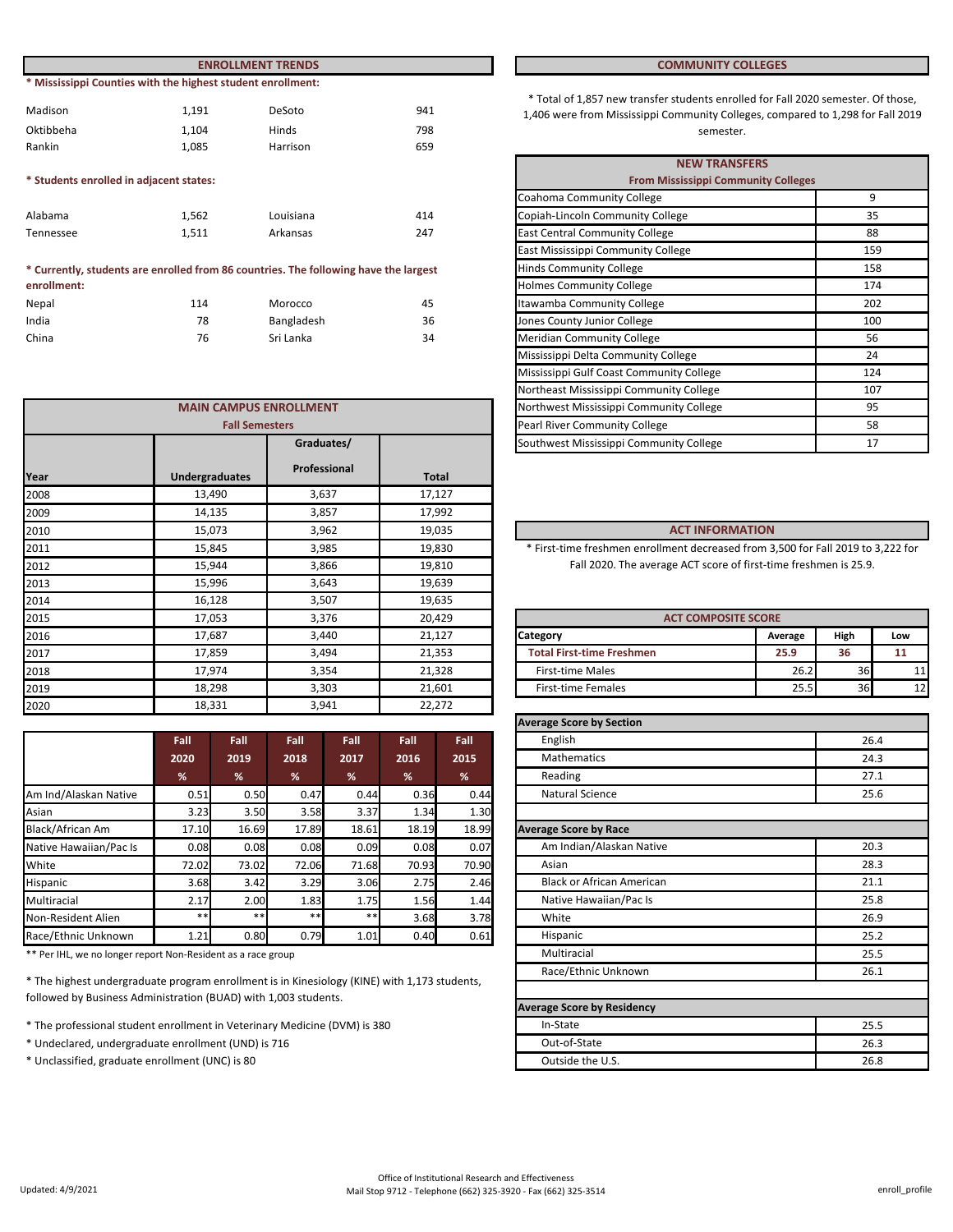|                                         |                                                             | <b>ENROLLMENT TRENDS</b>                                                             | <b>COMMUNITY COLLEGES</b> |                                                                                                                          |
|-----------------------------------------|-------------------------------------------------------------|--------------------------------------------------------------------------------------|---------------------------|--------------------------------------------------------------------------------------------------------------------------|
|                                         | * Mississippi Counties with the highest student enrollment: |                                                                                      |                           |                                                                                                                          |
| Madison                                 | 1,191                                                       | DeSoto                                                                               | 941                       | * Total of 1,857 new transfer students enrolled for Fall 202<br>1,406 were from Mississippi Community Colleges, compared |
| Oktibbeha                               | 1,104                                                       | Hinds                                                                                | 798                       | semester.                                                                                                                |
| Rankin                                  | 1,085                                                       | Harrison                                                                             | 659                       |                                                                                                                          |
|                                         |                                                             |                                                                                      |                           | <b>NEW TRANSFERS</b>                                                                                                     |
| * Students enrolled in adjacent states: |                                                             |                                                                                      |                           | <b>From Mississippi Community Colleges</b>                                                                               |
|                                         |                                                             |                                                                                      |                           | Coahoma Community College                                                                                                |
| Alabama                                 | 1.562                                                       | Louisiana                                                                            | 414                       | Copiah-Lincoln Community College                                                                                         |
| Tennessee                               | 1,511                                                       | Arkansas                                                                             | 247                       | <b>East Central Community College</b>                                                                                    |
|                                         |                                                             |                                                                                      |                           | East Mississippi Community College                                                                                       |
|                                         |                                                             | * Currently, students are enrolled from 86 countries. The following have the largest |                           | <b>Hinds Community College</b>                                                                                           |
| enrollment:                             |                                                             |                                                                                      |                           | Holmes Community College                                                                                                 |

| <b>CHIOIIIICIIL.</b> |     |            |    |
|----------------------|-----|------------|----|
| Nepal                | 114 | Morocco    | 45 |
| India                | 78  | Bangladesh | 36 |
| China                | 76  | Sri Lanka  | 34 |

|      | <b>MAIN CAMPUS ENROLLMENT</b> |              |              | Northwest Mississippi Community College<br>95                                    |                            |      |     |
|------|-------------------------------|--------------|--------------|----------------------------------------------------------------------------------|----------------------------|------|-----|
|      | <b>Fall Semesters</b>         |              |              | Pearl River Community College<br>58                                              |                            |      |     |
|      |                               | Graduates/   |              | Southwest Mississippi Community College                                          |                            | 17   |     |
| Year | <b>Undergraduates</b>         | Professional | <b>Total</b> |                                                                                  |                            |      |     |
| 2008 | 13,490                        | 3,637        | 17,127       |                                                                                  |                            |      |     |
| 2009 | 14,135                        | 3,857        | 17,992       |                                                                                  |                            |      |     |
| 2010 | 15,073                        | 3,962        | 19,035       | <b>ACT INFORMATION</b>                                                           |                            |      |     |
| 2011 | 15,845                        | 3,985        | 19,830       | * First-time freshmen enrollment decreased from 3,500 for Fall 2019 to 3,222 for |                            |      |     |
| 2012 | 15,944                        | 3,866        | 19,810       | Fall 2020. The average ACT score of first-time freshmen is 25.9.                 |                            |      |     |
| 2013 | 15,996                        | 3,643        | 19,639       |                                                                                  |                            |      |     |
| 2014 | 16,128                        | 3,507        | 19,635       |                                                                                  |                            |      |     |
| 2015 | 17,053                        | 3,376        | 20,429       |                                                                                  | <b>ACT COMPOSITE SCORE</b> |      |     |
| 2016 | 17,687                        | 3,440        | 21,127       | Category                                                                         | Average                    | High | Low |
| 2017 | 17,859                        | 3,494        | 21,353       | <b>Total First-time Freshmen</b>                                                 | 25.9                       | 36   | 11  |
| 2018 | 17,974                        | 3,354        | 21,328       | <b>First-time Males</b>                                                          | 26.2                       | 36   | 11  |
| 2019 | 18,298                        | 3,303        | 21,601       | <b>First-time Females</b>                                                        | 25.5                       | 36   | 12  |
| 2020 | 18,331                        | 3,941        | 22,272       |                                                                                  |                            |      |     |
|      |                               |              |              |                                                                                  |                            |      |     |

|                        | Fall  | Fall  | Fall  | Fall  | Fall  | Fall  |
|------------------------|-------|-------|-------|-------|-------|-------|
|                        | 2020  | 2019  | 2018  | 2017  | 2016  | 2015  |
|                        | %     | %     | %     | %     | %     | %     |
| Am Ind/Alaskan Native  | 0.51  | 0.50  | 0.47  | 0.44  | 0.36  | 0.44  |
| Asian                  | 3.23  | 3.50  | 3.58  | 3.37  | 1.34  | 1.30  |
| Black/African Am       | 17.10 | 16.69 | 17.89 | 18.61 | 18.19 | 18.99 |
| Native Hawaiian/Pac Is | 0.08  | 0.08  | 0.08  | 0.09  | 0.08  | 0.07  |
| White                  | 72.02 | 73.02 | 72.06 | 71.68 | 70.93 | 70.90 |
| Hispanic               | 3.68  | 3.42  | 3.29  | 3.06  | 2.75  | 2.46  |
| Multiracial            | 2.17  | 2.00  | 1.83  | 1.75  | 1.56  | 1.44  |
| Non-Resident Alien     | $***$ | $***$ | $***$ | $* *$ | 3.68  | 3.78  |
| Race/Ethnic Unknown    | 1.21  | 0.80  | 0.79  | 1.01  | 0.40  | 0.61  |

\*\* Per IHL, we no longer report Non-Resident as a race group

\* The highest undergraduate program enrollment is in Kinesiology (KINE) with 1,173 students, followed by Business Administration (BUAD) with 1,003 students.

\* The professional student enrollment in Veterinary Medicine (DVM) is 380

\* Undeclared, undergraduate enrollment (UND) is 716

\* Unclassified, graduate enrollment (UNC) is 80

#### **COMMUNITY COLLEGES**

\* Total of 1,857 new transfer students enrolled for Fall 2020 semester. Of those, 1,406 were from Mississippi Community Colleges, compared to 1,298 for Fall 2019

|                       |                                              |     | <b>NEW TRANSFERS</b>                       |     |  |  |
|-----------------------|----------------------------------------------|-----|--------------------------------------------|-----|--|--|
|                       |                                              |     | <b>From Mississippi Community Colleges</b> |     |  |  |
|                       |                                              |     | Coahoma Community College                  | 9   |  |  |
|                       | Louisiana                                    | 414 | Copiah-Lincoln Community College           | 35  |  |  |
|                       | Arkansas                                     | 247 | <b>East Central Community College</b>      | 88  |  |  |
|                       |                                              |     | East Mississippi Community College         | 159 |  |  |
|                       | 86 countries. The following have the largest |     | <b>Hinds Community College</b>             | 158 |  |  |
|                       |                                              |     | <b>Holmes Community College</b>            | 174 |  |  |
|                       | Morocco                                      | 45  | Itawamba Community College                 | 202 |  |  |
|                       | Bangladesh                                   | 36  | Jones County Junior College                | 100 |  |  |
|                       | Sri Lanka                                    | 34  | <b>Meridian Community College</b>          | 56  |  |  |
|                       |                                              |     | Mississippi Delta Community College        | 24  |  |  |
|                       |                                              |     | Mississippi Gulf Coast Community College   | 124 |  |  |
|                       |                                              |     | Northeast Mississippi Community College    | 107 |  |  |
|                       | <b>AMPUS ENROLLMENT</b>                      |     | Northwest Mississippi Community College    | 95  |  |  |
| <b>Fall Semesters</b> |                                              |     | Pearl River Community College              | 58  |  |  |
|                       | Graduates/                                   |     | Southwest Mississippi Community College    | 17  |  |  |

#### **ACT INFORMATION**

| <b>ACT COMPOSITE SCORE</b>       |         |      |     |  |  |  |  |
|----------------------------------|---------|------|-----|--|--|--|--|
| <b>Category</b>                  | Average | High | Low |  |  |  |  |
| <b>Total First-time Freshmen</b> | 25.9    | 36   |     |  |  |  |  |
| <b>First-time Males</b>          | 26.2    | 36   |     |  |  |  |  |
| <b>First-time Females</b>        | 25.5    | 36   |     |  |  |  |  |

| <b>Average Score by Section</b>   |      |
|-----------------------------------|------|
| English                           | 26.4 |
| <b>Mathematics</b>                | 24.3 |
| Reading                           | 27.1 |
| <b>Natural Science</b>            | 25.6 |
| <b>Average Score by Race</b>      |      |
| Am Indian/Alaskan Native          | 20.3 |
| Asian                             | 28.3 |
| <b>Black or African American</b>  | 21.1 |
| Native Hawaiian/Pac Is            | 25.8 |
| White                             | 26.9 |
| Hispanic                          | 25.2 |
| Multiracial                       | 25.5 |
| Race/Ethnic Unknown               | 26.1 |
| <b>Average Score by Residency</b> |      |
| In-State                          | 25.5 |
| Out-of-State                      | 26.3 |
| Outside the U.S.                  | 26.8 |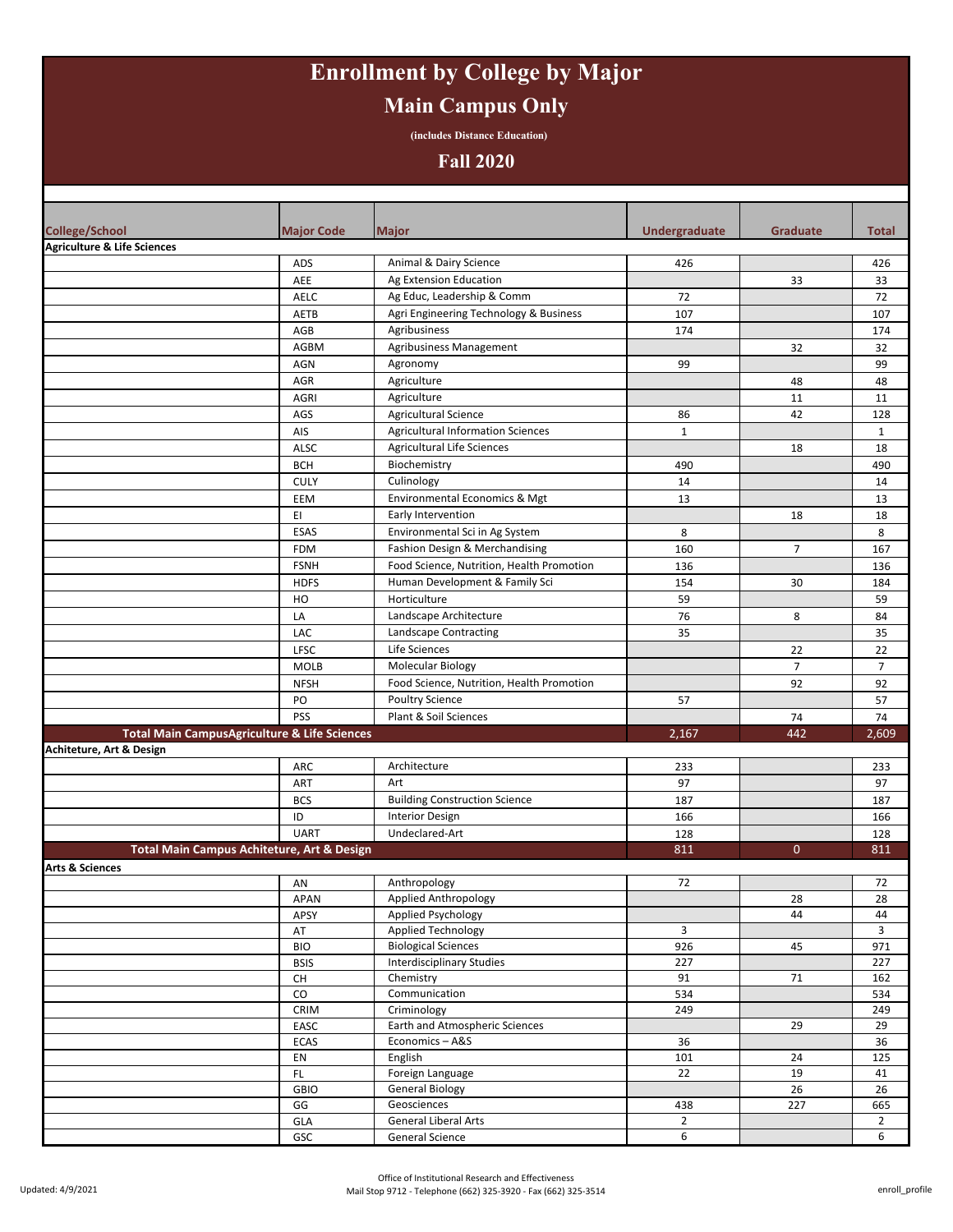# **Enrollment by College by Major Main Campus Only**

**(includes Distance Education)**

### **Fall 2020**

| <b>College/School</b>                  | <b>Major Code</b>                                       | <b>Major</b>                                                   | Undergraduate  | <b>Graduate</b> | Total          |
|----------------------------------------|---------------------------------------------------------|----------------------------------------------------------------|----------------|-----------------|----------------|
| <b>Agriculture &amp; Life Sciences</b> |                                                         |                                                                |                |                 |                |
|                                        | ADS                                                     | Animal & Dairy Science                                         | 426            |                 | 426            |
|                                        | AEE                                                     | Ag Extension Education                                         |                | 33              | 33             |
|                                        | AELC                                                    | Ag Educ, Leadership & Comm                                     | 72             |                 | 72             |
|                                        | AETB                                                    | Agri Engineering Technology & Business                         | 107            |                 | 107            |
|                                        | AGB                                                     | Agribusiness                                                   | 174            |                 | 174            |
|                                        | AGBM                                                    | Agribusiness Management                                        |                | 32              | 32             |
|                                        | AGN                                                     | Agronomy                                                       | 99             |                 | 99             |
|                                        | AGR                                                     | Agriculture                                                    |                | 48              | 48             |
|                                        | <b>AGRI</b>                                             | Agriculture                                                    |                | 11              | 11             |
|                                        | AGS                                                     | <b>Agricultural Science</b>                                    | 86             | 42              | 128            |
|                                        | AIS                                                     | <b>Agricultural Information Sciences</b>                       | $\mathbf{1}$   |                 | $\mathbf{1}$   |
|                                        | ALSC                                                    | <b>Agricultural Life Sciences</b>                              |                | 18              | 18             |
|                                        | <b>BCH</b>                                              | Biochemistry                                                   | 490            |                 | 490            |
|                                        | <b>CULY</b>                                             | Culinology                                                     | 14             |                 | 14             |
|                                        | EEM                                                     | Environmental Economics & Mgt                                  | 13             |                 | 13             |
|                                        | EI                                                      | Early Intervention                                             |                | 18              | 18             |
|                                        | ESAS                                                    | Environmental Sci in Ag System                                 | 8              |                 | 8              |
|                                        | <b>FDM</b>                                              | Fashion Design & Merchandising                                 | 160            | $\overline{7}$  | 167            |
|                                        | <b>FSNH</b>                                             | Food Science, Nutrition, Health Promotion                      | 136            |                 | 136            |
|                                        | <b>HDFS</b>                                             | Human Development & Family Sci                                 | 154            | 30              | 184            |
|                                        | HO                                                      | Horticulture                                                   | 59             |                 | 59             |
|                                        | LA                                                      | Landscape Architecture                                         | 76             | 8               | 84             |
|                                        | LAC                                                     | Landscape Contracting                                          | 35             |                 | 35             |
|                                        | <b>LFSC</b>                                             | Life Sciences                                                  |                | 22              | 22             |
|                                        | <b>MOLB</b>                                             | Molecular Biology                                              |                | $\overline{7}$  | $\overline{7}$ |
|                                        | <b>NFSH</b>                                             | Food Science, Nutrition, Health Promotion                      |                | 92              | 92             |
|                                        | PO                                                      | Poultry Science                                                | 57             |                 | 57             |
|                                        | PSS                                                     | Plant & Soil Sciences                                          |                | 74              | 74             |
|                                        | <b>Total Main CampusAgriculture &amp; Life Sciences</b> |                                                                | 2,167          | 442             | 2,609          |
| Achiteture, Art & Design               |                                                         |                                                                |                |                 |                |
|                                        | ARC                                                     | Architecture                                                   | 233            |                 | 233            |
|                                        | ART                                                     | Art                                                            | 97             |                 | 97             |
|                                        | <b>BCS</b>                                              | <b>Building Construction Science</b>                           | 187            |                 | 187            |
|                                        | ID                                                      | <b>Interior Design</b>                                         | 166            |                 | 166            |
|                                        | <b>UART</b>                                             | Undeclared-Art                                                 | 128            |                 | 128            |
|                                        | Total Main Campus Achiteture, Art & Design              |                                                                | 811            | $\mathbf{0}$    | 811            |
| <b>Arts &amp; Sciences</b>             |                                                         |                                                                |                |                 |                |
|                                        | AN                                                      | Anthropology                                                   | 72             |                 | 72             |
|                                        | APAN                                                    | Applied Anthropology                                           |                | 28              | 28             |
|                                        | APSY                                                    | <b>Applied Psychology</b>                                      |                | 44              | 44             |
|                                        | AT                                                      | Applied Technology                                             | 3              |                 | $\overline{3}$ |
|                                        | <b>BIO</b>                                              | <b>Biological Sciences</b><br><b>Interdisciplinary Studies</b> | 926<br>227     | 45              | 971<br>227     |
|                                        | <b>BSIS</b><br>CH                                       | Chemistry                                                      | 91             | $71\,$          | 162            |
|                                        | CO                                                      | Communication                                                  | 534            |                 | 534            |
|                                        | CRIM                                                    | Criminology                                                    | 249            |                 | 249            |
|                                        | EASC                                                    | Earth and Atmospheric Sciences                                 |                | 29              | 29             |
|                                        | ECAS                                                    | Economics-A&S                                                  | 36             |                 | 36             |
|                                        | EN                                                      | English                                                        | 101            | 24              | 125            |
|                                        | $\mathsf{FL}$                                           | Foreign Language                                               | 22             | 19              | 41             |
|                                        | <b>GBIO</b>                                             | <b>General Biology</b>                                         |                | 26              | 26             |
|                                        | GG                                                      | Geosciences                                                    | 438            | 227             | 665            |
|                                        | GLA                                                     | General Liberal Arts                                           | $\overline{2}$ |                 | $\overline{2}$ |
|                                        | GSC                                                     | General Science                                                | 6              |                 | 6              |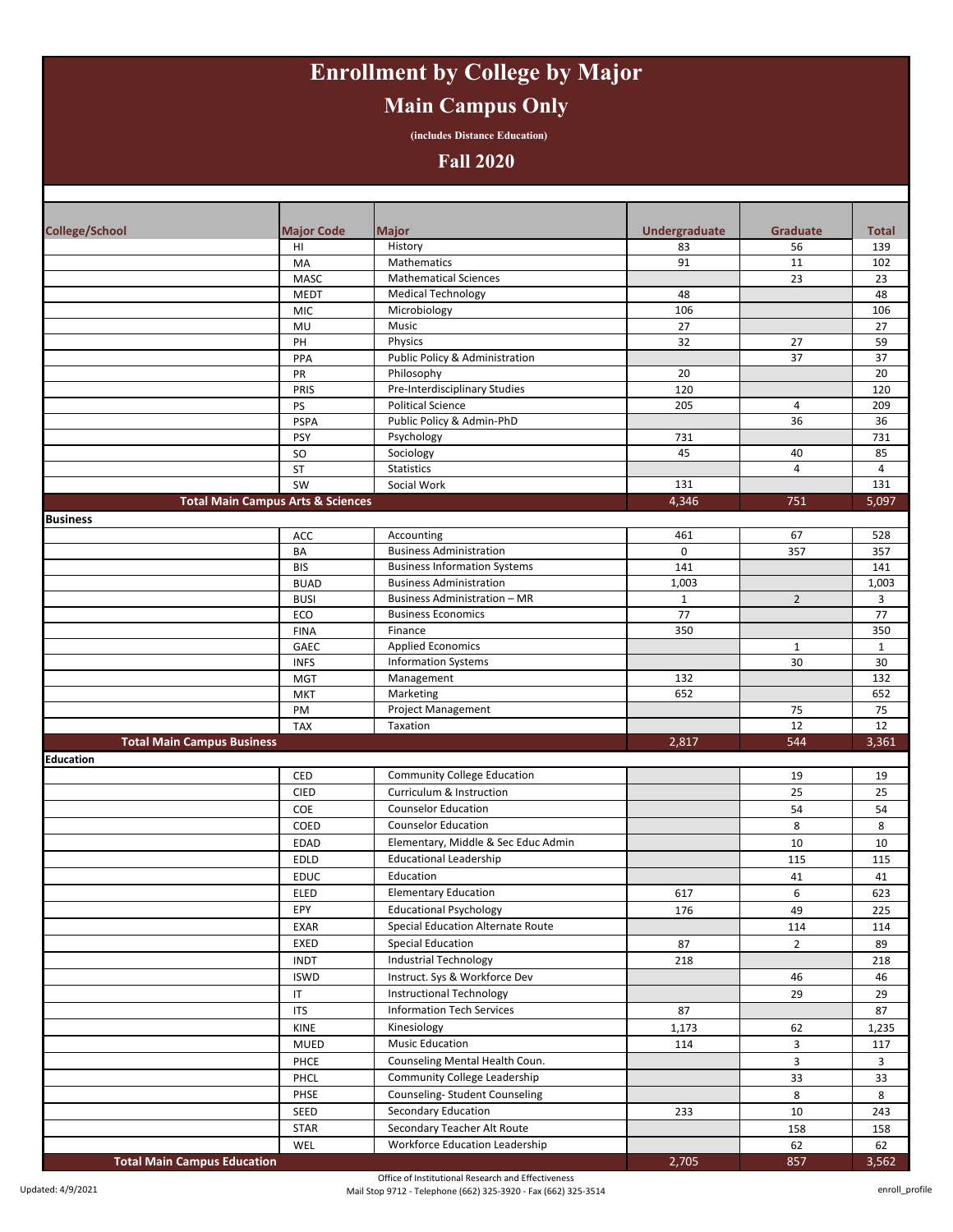# **Enrollment by College by Major Main Campus Only**

**(includes Distance Education)**

### **Fall 2020**

| <b>College/School</b>              | <b>Major Code</b>                            | <b>Major</b>                                                          | <b>Undergraduate</b> | <b>Graduate</b>         | <b>Total</b> |
|------------------------------------|----------------------------------------------|-----------------------------------------------------------------------|----------------------|-------------------------|--------------|
|                                    | HI                                           | History                                                               | 83                   | 56                      | 139          |
|                                    | MA                                           | Mathematics                                                           | 91                   | 11                      | 102          |
|                                    | MASC                                         | <b>Mathematical Sciences</b>                                          |                      | 23                      | 23           |
|                                    | <b>MEDT</b>                                  | <b>Medical Technology</b>                                             | 48                   |                         | 48           |
|                                    | <b>MIC</b>                                   | Microbiology                                                          | 106                  |                         | 106          |
|                                    | MU                                           | Music                                                                 | 27                   |                         | 27           |
|                                    | PH                                           | Physics                                                               | 32                   | 27                      | 59           |
|                                    | PPA                                          | Public Policy & Administration                                        |                      | 37                      | 37           |
|                                    | PR                                           | Philosophy                                                            | 20                   |                         | 20           |
|                                    | PRIS                                         | Pre-Interdisciplinary Studies                                         | 120                  |                         | 120          |
|                                    | PS                                           | <b>Political Science</b>                                              | 205                  | 4                       | 209          |
|                                    | <b>PSPA</b>                                  | Public Policy & Admin-PhD                                             |                      | 36                      | 36           |
|                                    | <b>PSY</b>                                   | Psychology                                                            | 731                  |                         | 731          |
|                                    | <b>SO</b>                                    | Sociology                                                             | 45                   | 40                      | 85           |
|                                    | ST                                           | Statistics                                                            |                      | 4                       | 4            |
|                                    | SW                                           | Social Work                                                           | 131                  |                         | 131          |
|                                    | <b>Total Main Campus Arts &amp; Sciences</b> |                                                                       | 4,346                | 751                     | 5,097        |
| <b>Business</b>                    |                                              |                                                                       |                      |                         |              |
|                                    | ACC                                          | Accounting                                                            | 461                  | 67                      | 528          |
|                                    | BA                                           | <b>Business Administration</b>                                        | 0                    | 357                     | 357          |
|                                    | <b>BIS</b>                                   | <b>Business Information Systems</b>                                   | 141                  |                         | 141          |
|                                    | <b>BUAD</b>                                  | <b>Business Administration</b><br><b>Business Administration - MR</b> | 1,003                |                         | 1,003        |
|                                    | <b>BUSI</b>                                  | <b>Business Economics</b>                                             | $\mathbf{1}$<br>77   | $\overline{2}$          | 3<br>77      |
|                                    | ECO<br><b>FINA</b>                           | Finance                                                               | 350                  |                         | 350          |
|                                    | GAEC                                         | <b>Applied Economics</b>                                              |                      | $\mathbf{1}$            | $\mathbf{1}$ |
|                                    | <b>INFS</b>                                  | <b>Information Systems</b>                                            |                      | 30                      | 30           |
|                                    | <b>MGT</b>                                   | Management                                                            | 132                  |                         | 132          |
|                                    | <b>MKT</b>                                   | Marketing                                                             | 652                  |                         | 652          |
|                                    | PM                                           | <b>Project Management</b>                                             |                      | 75                      | 75           |
|                                    | <b>TAX</b>                                   | Taxation                                                              |                      | 12                      | 12           |
| <b>Total Main Campus Business</b>  |                                              |                                                                       | 2,817                | 544                     | 3,361        |
| <b>Education</b>                   |                                              |                                                                       |                      |                         |              |
|                                    | CED                                          | Community College Education                                           |                      | 19                      | 19           |
|                                    | <b>CIED</b>                                  | Curriculum & Instruction                                              |                      | 25                      | 25           |
|                                    | COE                                          | <b>Counselor Education</b>                                            |                      | 54                      | 54           |
|                                    | COED                                         | <b>Counselor Education</b>                                            |                      | 8                       | 8            |
|                                    | <b>EDAD</b>                                  | Elementary, Middle & Sec Educ Admin                                   |                      | 10                      | 10           |
|                                    | <b>EDLD</b>                                  | <b>Educational Leadership</b>                                         |                      | 115                     | 115          |
|                                    | <b>EDUC</b>                                  | Education                                                             |                      | 41                      | 41           |
|                                    | ELED                                         | <b>Elementary Education</b>                                           | 617                  | 6                       | 623          |
|                                    |                                              | <b>Educational Psychology</b>                                         |                      | 49                      |              |
|                                    | EPY                                          |                                                                       | 176                  |                         | 225          |
|                                    | <b>EXAR</b>                                  | Special Education Alternate Route                                     |                      | 114                     | 114          |
|                                    | EXED                                         | <b>Special Education</b>                                              | 87                   | $\overline{2}$          | 89           |
|                                    | <b>INDT</b>                                  | <b>Industrial Technology</b>                                          | 218                  |                         | 218          |
|                                    | <b>ISWD</b>                                  | Instruct. Sys & Workforce Dev                                         |                      | 46                      | 46           |
|                                    | IT                                           | <b>Instructional Technology</b>                                       |                      | 29                      | 29           |
|                                    | <b>ITS</b>                                   | <b>Information Tech Services</b>                                      | 87                   |                         | 87           |
|                                    | KINE                                         | Kinesiology                                                           | 1,173                | 62                      | 1,235        |
|                                    | MUED                                         | <b>Music Education</b>                                                | 114                  | 3                       | 117          |
|                                    | PHCE                                         | Counseling Mental Health Coun.                                        |                      | $\overline{\mathbf{3}}$ | 3            |
|                                    | PHCL                                         | Community College Leadership                                          |                      | 33                      | 33           |
|                                    | PHSE                                         | Counseling-Student Counseling                                         |                      | 8                       | 8            |
|                                    | SEED                                         | Secondary Education                                                   | 233                  | 10                      | 243          |
|                                    | STAR                                         | Secondary Teacher Alt Route                                           |                      | 158                     | 158          |
|                                    | WEL                                          | <b>Workforce Education Leadership</b>                                 |                      | 62                      | 62           |
| <b>Total Main Campus Education</b> |                                              |                                                                       | 2,705                | 857                     | 3,562        |

Office of Institutional Research and Effectiveness Mail Stop 9712 - Telephone (662) 325-3920 - Fax (662) 325-3514 enroll\_profile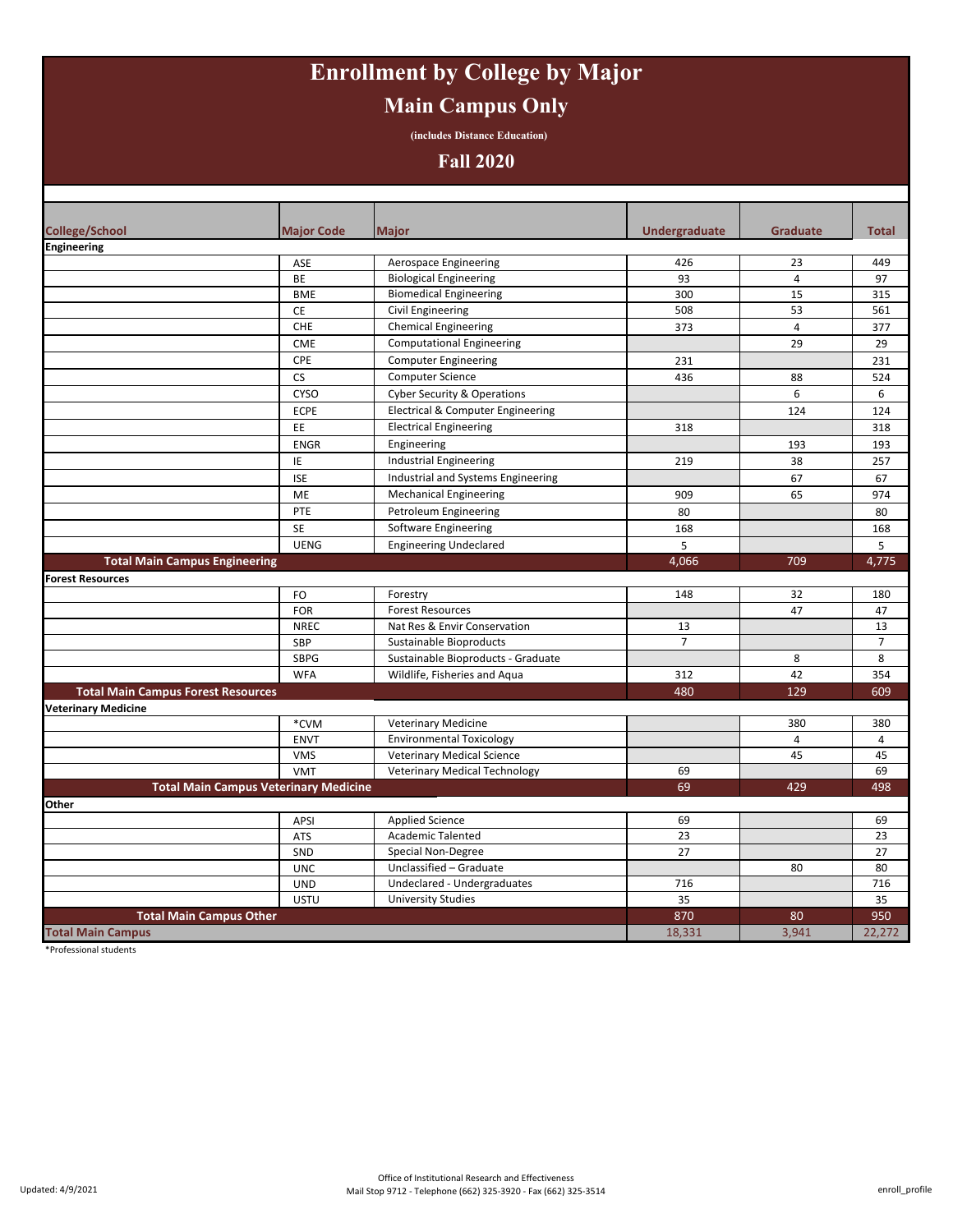# **Enrollment by College by Major Main Campus Only**

**(includes Distance Education)**

### **Fall 2020**

| <b>College/School</b>                     | <b>Major Code</b>                            | <b>Major</b>                           | <b>Undergraduate</b> | <b>Graduate</b> | <b>Total</b>   |
|-------------------------------------------|----------------------------------------------|----------------------------------------|----------------------|-----------------|----------------|
| Engineering                               |                                              |                                        |                      |                 |                |
|                                           | ASE                                          | Aerospace Engineering                  | 426                  | 23              | 449            |
|                                           | BE                                           | <b>Biological Engineering</b>          | 93                   | 4               | 97             |
|                                           | <b>BME</b>                                   | <b>Biomedical Engineering</b>          | 300                  | 15              | 315            |
|                                           | CE                                           | Civil Engineering                      | 508                  | 53              | 561            |
|                                           | <b>CHE</b>                                   | <b>Chemical Engineering</b>            | 373                  | 4               | 377            |
|                                           | <b>CME</b>                                   | <b>Computational Engineering</b>       |                      | 29              | 29             |
|                                           | CPE                                          | <b>Computer Engineering</b>            | 231                  |                 | 231            |
|                                           | <b>CS</b>                                    | <b>Computer Science</b>                | 436                  | 88              | 524            |
|                                           | <b>CYSO</b>                                  | <b>Cyber Security &amp; Operations</b> |                      | 6               | 6              |
|                                           | ECPE                                         | Electrical & Computer Engineering      |                      | 124             | 124            |
|                                           | <b>EE</b>                                    | <b>Electrical Engineering</b>          | 318                  |                 | 318            |
|                                           | <b>ENGR</b>                                  | Engineering                            |                      | 193             | 193            |
|                                           | IE                                           | <b>Industrial Engineering</b>          | 219                  | 38              | 257            |
|                                           | <b>ISE</b>                                   | Industrial and Systems Engineering     |                      | 67              | 67             |
|                                           | ME                                           | <b>Mechanical Engineering</b>          | 909                  | 65              | 974            |
|                                           | PTE                                          | Petroleum Engineering                  | 80                   |                 | 80             |
|                                           | <b>SE</b>                                    | Software Engineering                   | 168                  |                 | 168            |
|                                           | <b>UENG</b>                                  | <b>Engineering Undeclared</b>          | 5                    |                 | 5              |
| <b>Total Main Campus Engineering</b>      |                                              |                                        | 4,066                | 709             | 4,775          |
| <b>Forest Resources</b>                   |                                              |                                        |                      |                 |                |
|                                           | FO                                           | Forestry                               | 148                  | 32              | 180            |
|                                           | <b>FOR</b>                                   | <b>Forest Resources</b>                |                      | 47              | 47             |
|                                           | <b>NREC</b>                                  | Nat Res & Envir Conservation           | 13                   |                 | 13             |
|                                           | SBP                                          | Sustainable Bioproducts                | $\overline{7}$       |                 | $\overline{7}$ |
|                                           | <b>SBPG</b>                                  | Sustainable Bioproducts - Graduate     |                      | 8               | 8              |
|                                           | <b>WFA</b>                                   | Wildlife, Fisheries and Aqua           | 312                  | 42              | 354            |
| <b>Total Main Campus Forest Resources</b> |                                              |                                        | 480                  | 129             | 609            |
| <b>Veterinary Medicine</b>                |                                              |                                        |                      |                 |                |
|                                           | *CVM                                         | <b>Veterinary Medicine</b>             |                      | 380             | 380            |
|                                           | <b>ENVT</b>                                  | <b>Environmental Toxicology</b>        |                      | 4               | 4              |
|                                           | <b>VMS</b>                                   | <b>Veterinary Medical Science</b>      |                      | 45              | 45             |
|                                           | <b>VMT</b>                                   | <b>Veterinary Medical Technology</b>   | 69                   |                 | 69             |
|                                           | <b>Total Main Campus Veterinary Medicine</b> |                                        | 69                   | 429             | 498            |
| <b>Other</b>                              |                                              |                                        |                      |                 |                |
|                                           | <b>APSI</b>                                  | <b>Applied Science</b>                 | 69                   |                 | 69             |
|                                           | <b>ATS</b>                                   | <b>Academic Talented</b>               | 23                   |                 | 23             |
|                                           | SND                                          | Special Non-Degree                     | 27                   |                 | 27             |
|                                           | <b>UNC</b>                                   | Unclassified - Graduate                |                      | 80              | 80             |
|                                           | <b>UND</b>                                   | Undeclared - Undergraduates            | 716                  |                 | 716            |
|                                           | <b>USTU</b>                                  | <b>University Studies</b>              | 35                   |                 | 35             |
| <b>Total Main Campus Other</b>            |                                              |                                        | 870                  | 80              | 950            |
| <b>Total Main Campus</b>                  |                                              |                                        | 18,331               | 3,941           | 22,272         |

\*Professional students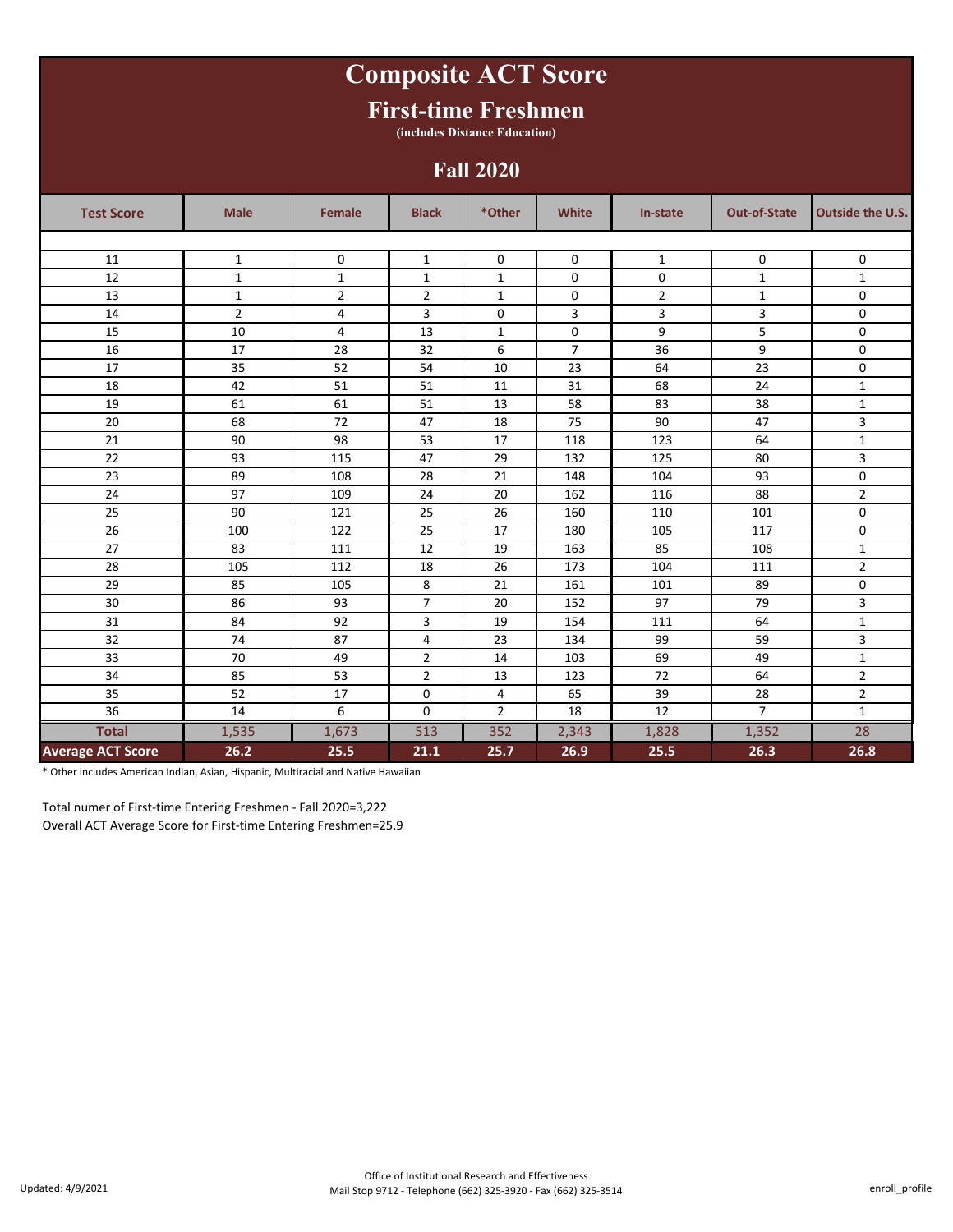# **Composite ACT Score**

### **First-time Freshmen**

**(includes Distance Education)**

### **Fall 2020**

| <b>Test Score</b>        | <b>Male</b>    | Female         | <b>Black</b>   | *Other         | White          | In-state       | <b>Out-of-State</b> | <b>Outside the U.S.</b> |
|--------------------------|----------------|----------------|----------------|----------------|----------------|----------------|---------------------|-------------------------|
|                          |                |                |                |                |                |                |                     |                         |
| 11                       | $\mathbf{1}$   | 0              | $\mathbf 1$    | $\mathbf 0$    | 0              | $\mathbf{1}$   | 0                   | 0                       |
| 12                       | $\mathbf{1}$   | $\mathbf{1}$   | $\mathbf{1}$   | $\mathbf{1}$   | 0              | 0              | $\mathbf{1}$        | $\mathbf{1}$            |
| 13                       | $\mathbf{1}$   | $\overline{2}$ | $\overline{2}$ | $\mathbf{1}$   | 0              | $\overline{2}$ | $\mathbf{1}$        | 0                       |
| 14                       | $\overline{2}$ | 4              | 3              | $\mathbf 0$    | 3              | 3              | 3                   | $\mathbf 0$             |
| 15                       | 10             | 4              | 13             | $\mathbf{1}$   | 0              | 9              | 5                   | 0                       |
| 16                       | 17             | 28             | 32             | 6              | $\overline{7}$ | 36             | 9                   | 0                       |
| 17                       | 35             | 52             | 54             | 10             | 23             | 64             | 23                  | $\mathbf 0$             |
| 18                       | 42             | 51             | 51             | 11             | 31             | 68             | 24                  | $\mathbf 1$             |
| 19                       | 61             | 61             | 51             | 13             | 58             | 83             | 38                  | $1\,$                   |
| 20                       | 68             | 72             | 47             | 18             | 75             | 90             | 47                  | 3                       |
| 21                       | 90             | 98             | 53             | 17             | 118            | 123            | 64                  | $1\,$                   |
| 22                       | 93             | 115            | 47             | 29             | 132            | 125            | 80                  | 3                       |
| 23                       | 89             | 108            | 28             | 21             | 148            | 104            | 93                  | $\mathbf 0$             |
| 24                       | 97             | 109            | 24             | 20             | 162            | 116            | 88                  | $\mathbf 2$             |
| 25                       | 90             | 121            | 25             | 26             | 160            | 110            | 101                 | 0                       |
| 26                       | 100            | 122            | 25             | 17             | 180            | 105            | 117                 | $\mathbf 0$             |
| 27                       | 83             | 111            | 12             | 19             | 163            | 85             | 108                 | $1\,$                   |
| 28                       | 105            | 112            | 18             | 26             | 173            | 104            | 111                 | 2                       |
| 29                       | 85             | 105            | 8              | 21             | 161            | 101            | 89                  | 0                       |
| 30                       | 86             | 93             | 7              | 20             | 152            | 97             | 79                  | 3                       |
| 31                       | 84             | 92             | 3              | 19             | 154            | 111            | 64                  | $\mathbf 1$             |
| 32                       | 74             | 87             | 4              | 23             | 134            | 99             | 59                  | 3                       |
| 33                       | 70             | 49             | $\overline{2}$ | 14             | 103            | 69             | 49                  | $\mathbf{1}$            |
| 34                       | 85             | 53             | $\overline{2}$ | 13             | 123            | 72             | 64                  | $\overline{2}$          |
| 35                       | 52             | 17             | $\mathbf 0$    | 4              | 65             | 39             | 28                  | $\overline{2}$          |
| 36                       | 14             | 6              | $\mathbf 0$    | $\overline{2}$ | 18             | 12             | $\overline{7}$      | $\mathbf{1}$            |
| <b>Total</b>             | 1,535          | 1,673          | 513            | 352            | 2,343          | 1,828          | 1,352               | 28                      |
| <b>Average ACT Score</b> | 26.2           | 25.5           | 21.1           | 25.7           | 26.9           | 25.5           | 26.3                | 26.8                    |

\* Other includes American Indian, Asian, Hispanic, Multiracial and Native Hawaiian

Total numer of First-time Entering Freshmen - Fall 2020=3,222 Overall ACT Average Score for First-time Entering Freshmen=25.9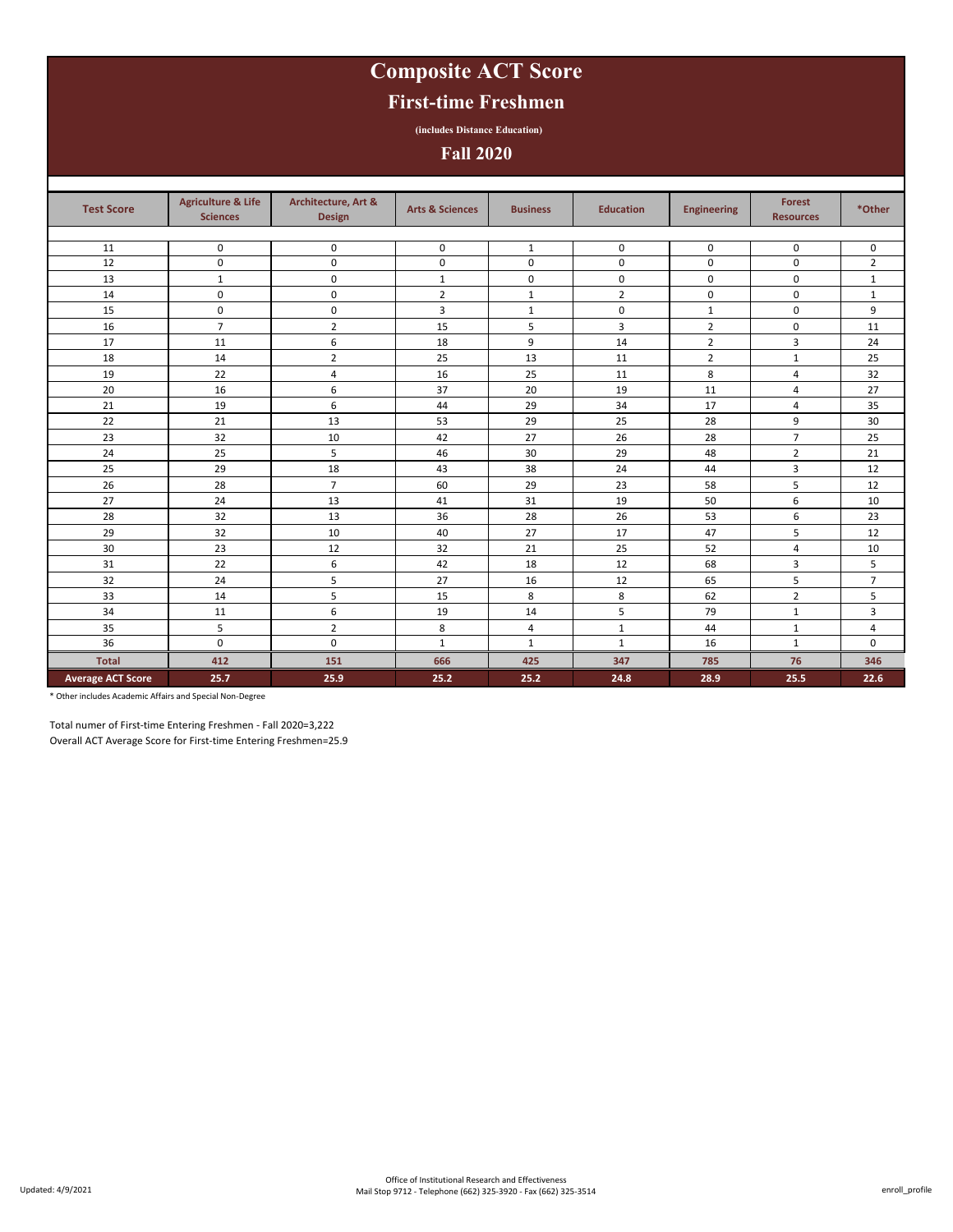# **Composite ACT Score**

### **First-time Freshmen**

**(includes Distance Education)**

### **Fall 2020**

| <b>Test Score</b>        | <b>Agriculture &amp; Life</b><br><b>Sciences</b> | Architecture, Art &<br>Design | <b>Arts &amp; Sciences</b> | <b>Business</b> | <b>Education</b> | <b>Engineering</b> | <b>Forest</b><br><b>Resources</b> | *Other         |
|--------------------------|--------------------------------------------------|-------------------------------|----------------------------|-----------------|------------------|--------------------|-----------------------------------|----------------|
|                          |                                                  |                               |                            |                 |                  |                    |                                   |                |
| 11                       | 0                                                | 0                             | 0                          | $\,1\,$         | 0                | 0                  | 0                                 | 0              |
| 12                       | 0                                                | $\mathbf 0$                   | 0                          | $\pmb{0}$       | $\pmb{0}$        | 0                  | 0                                 | $\overline{2}$ |
| 13                       | $\mathbf{1}$                                     | $\mathbf 0$                   | $\mathbf{1}$               | 0               | 0                | 0                  | $\mathbf 0$                       | $\mathbf{1}$   |
| 14                       | 0                                                | 0                             | $\overline{2}$             | $\mathbf{1}$    | $\overline{2}$   | $\mathbf 0$        | 0                                 | $\mathbf{1}$   |
| 15                       | 0                                                | 0                             | 3                          | $\mathbf{1}$    | 0                | $\mathbf{1}$       | 0                                 | 9              |
| 16                       | $\overline{7}$                                   | $\overline{2}$                | 15                         | 5               | 3                | $\overline{2}$     | 0                                 | 11             |
| 17                       | 11                                               | 6                             | 18                         | 9               | 14               | $\overline{2}$     | 3                                 | 24             |
| 18                       | 14                                               | $\overline{2}$                | 25                         | 13              | 11               | $\overline{2}$     | 1                                 | 25             |
| 19                       | 22                                               | 4                             | 16                         | 25              | 11               | 8                  | 4                                 | 32             |
| 20                       | 16                                               | 6                             | 37                         | 20              | 19               | 11                 | 4                                 | 27             |
| 21                       | 19                                               | 6                             | 44                         | 29              | 34               | 17                 | 4                                 | 35             |
| 22                       | 21                                               | 13                            | 53                         | 29              | 25               | 28                 | 9                                 | 30             |
| 23                       | 32                                               | 10                            | 42                         | 27              | 26               | 28                 | $\overline{7}$                    | 25             |
| 24                       | 25                                               | 5                             | 46                         | 30              | 29               | 48                 | $\overline{2}$                    | 21             |
| 25                       | 29                                               | 18                            | 43                         | 38              | 24               | 44                 | 3                                 | 12             |
| 26                       | 28                                               | $\overline{7}$                | 60                         | 29              | 23               | 58                 | 5                                 | 12             |
| 27                       | 24                                               | 13                            | 41                         | 31              | 19               | 50                 | 6                                 | 10             |
| 28                       | 32                                               | 13                            | 36                         | 28              | 26               | 53                 | 6                                 | 23             |
| 29                       | 32                                               | 10                            | 40                         | 27              | 17               | 47                 | 5                                 | 12             |
| 30                       | 23                                               | 12                            | 32                         | 21              | 25               | 52                 | 4                                 | 10             |
| 31                       | 22                                               | 6                             | 42                         | 18              | 12               | 68                 | 3                                 | 5              |
| 32                       | 24                                               | 5                             | 27                         | 16              | 12               | 65                 | 5                                 | $\overline{7}$ |
| 33                       | 14                                               | 5                             | 15                         | 8               | 8                | 62                 | $\overline{2}$                    | 5              |
| 34                       | 11                                               | 6                             | 19                         | 14              | 5                | 79                 | $\mathbf{1}$                      | 3              |
| 35                       | 5                                                | $\overline{2}$                | 8                          | 4               | $\mathbf{1}$     | 44                 | $\mathbf{1}$                      | 4              |
| 36                       | $\mathbf 0$                                      | $\mathbf 0$                   | $\mathbf{1}$               | $\mathbf{1}$    | $\mathbf{1}$     | 16                 | $\mathbf{1}$                      | 0              |
| <b>Total</b>             | 412                                              | 151                           | 666                        | 425             | 347              | 785                | 76                                | 346            |
| <b>Average ACT Score</b> | 25.7                                             | 25.9                          | 25.2                       | 25.2            | 24.8             | 28.9               | 25.5                              | 22.6           |

\* Other includes Academic Affairs and Special Non-Degree

Total numer of First-time Entering Freshmen - Fall 2020=3,222

Overall ACT Average Score for First-time Entering Freshmen=25.9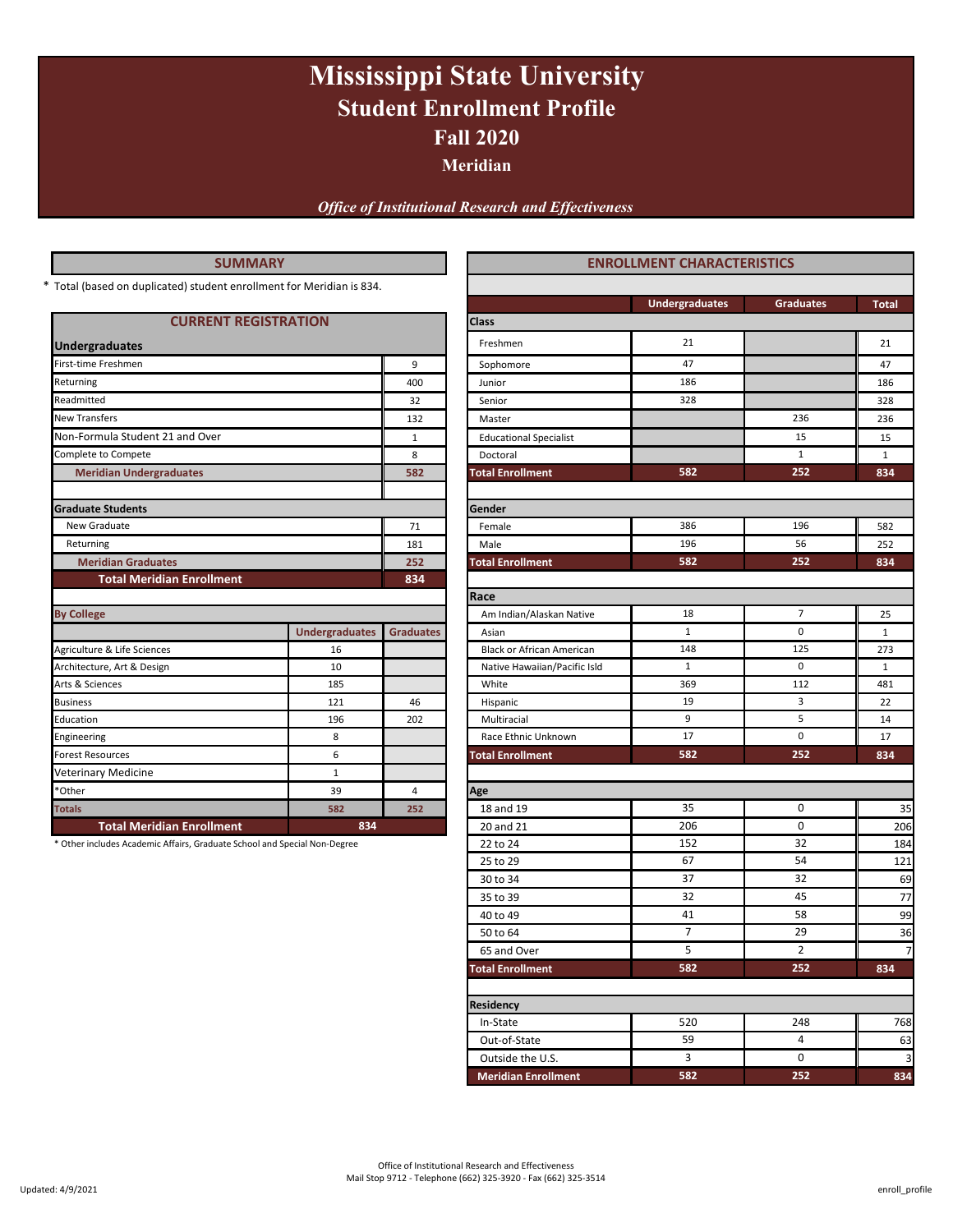# **Fall 2020 Mississippi State University Student Enrollment Profile**

**Meridian**

*Office of Institutional Research and Effectiveness*

#### **SUMMARY**

| <b>CURRENT REGISTRATION</b>      |                       |                                | <b>Class</b>                     |              |                |
|----------------------------------|-----------------------|--------------------------------|----------------------------------|--------------|----------------|
| <b>Undergraduates</b>            |                       |                                | Freshmen                         | 21           |                |
| First-time Freshmen              |                       | 9                              | Sophomore                        | 47           |                |
| Returning                        |                       |                                |                                  | 186          |                |
| Readmitted                       |                       | 32                             | Senior                           | 328          |                |
| <b>New Transfers</b>             |                       | 132                            | Master                           |              | 23             |
| Non-Formula Student 21 and Over  |                       | $\mathbf{1}$                   | <b>Educational Specialist</b>    |              | $\mathbf{1}$   |
| Complete to Compete              |                       | 8                              | Doctoral                         |              | 1              |
| <b>Meridian Undergraduates</b>   |                       | 582                            | <b>Total Enrollment</b>          | 582          | 25             |
| <b>Graduate Students</b>         |                       |                                | Gender                           |              |                |
| New Graduate                     |                       | 71                             | Female                           | 386          | 1 <sup>5</sup> |
| Returning                        |                       | 181                            | 196<br>Male                      |              | 5              |
| <b>Meridian Graduates</b>        | 252                   | <b>Total Enrollment</b><br>582 |                                  | 25           |                |
| <b>Total Meridian Enrollment</b> |                       | 834                            |                                  |              |                |
|                                  |                       |                                | Race                             |              |                |
| <b>By College</b>                |                       |                                | Am Indian/Alaskan Native         | 18           |                |
|                                  | <b>Undergraduates</b> | <b>Graduates</b>               | Asian                            | $\mathbf 1$  | C              |
| Agriculture & Life Sciences      | 16                    |                                | <b>Black or African American</b> | 148          | 12             |
| Architecture, Art & Design       | 10                    |                                | Native Hawaiian/Pacific Isld     | $\mathbf{1}$ | $\mathcal{C}$  |
| Arts & Sciences                  | 185                   |                                | White                            | 369          | 11             |
| <b>Business</b>                  | 121                   | 46                             | Hispanic                         | 19           |                |
| Education                        | 196                   | 202                            | Multiracial                      | 9            | p              |
| Engineering                      | 8                     |                                | Race Ethnic Unknown              | 17           | $\mathcal{L}$  |
| <b>Forest Resources</b>          | 6                     |                                | <b>Total Enrollment</b>          | 582          | 25             |
| <b>Veterinary Medicine</b>       | $\mathbf{1}$          |                                |                                  |              |                |
| *Other                           | 39                    | 4                              | Age                              |              |                |
| <b>Totals</b>                    | 582                   | 252                            | 18 and 19                        | 35           | ſ              |
| <b>Total Meridian Enrollment</b> | 834                   |                                | 20 and 21                        | 206          | ſ              |

| <b>SUMMARY</b>                                                            |                       |                  | <b>ENROLLMENT CHARACTERISTICS</b> |                       |                  |              |  |  |
|---------------------------------------------------------------------------|-----------------------|------------------|-----------------------------------|-----------------------|------------------|--------------|--|--|
| Total (based on duplicated) student enrollment for Meridian is 834.       |                       |                  |                                   |                       |                  |              |  |  |
|                                                                           |                       |                  |                                   | <b>Undergraduates</b> | <b>Graduates</b> | <b>Total</b> |  |  |
| <b>CURRENT REGISTRATION</b>                                               |                       |                  | Class                             |                       |                  |              |  |  |
| <b>Undergraduates</b>                                                     |                       |                  | Freshmen                          | 21                    |                  | 21           |  |  |
| First-time Freshmen                                                       |                       | 9                | Sophomore                         | 47                    |                  | 47           |  |  |
| Returning                                                                 |                       | 400              | Junior                            | 186                   |                  | 186          |  |  |
| Readmitted                                                                |                       | 32               | Senior                            | 328                   |                  | 328          |  |  |
| New Transfers                                                             |                       | 132              | Master                            |                       | 236              | 236          |  |  |
| Non-Formula Student 21 and Over                                           |                       | $\mathbf{1}$     | <b>Educational Specialist</b>     |                       | 15               | 15           |  |  |
| Complete to Compete                                                       |                       | 8                | Doctoral                          |                       | $\mathbf{1}$     | $\mathbf{1}$ |  |  |
| <b>Meridian Undergraduates</b>                                            |                       | 582              | <b>Total Enrollment</b>           | 582                   | 252              | 834          |  |  |
|                                                                           |                       |                  |                                   |                       |                  |              |  |  |
| <b>Graduate Students</b>                                                  |                       |                  | Gender                            |                       |                  |              |  |  |
| New Graduate                                                              |                       | 71               | Female                            | 386                   | 196              | 582          |  |  |
| Returning                                                                 |                       | 181              | Male                              | 196                   | 56               | 252          |  |  |
| <b>Meridian Graduates</b>                                                 |                       | 252              | <b>Total Enrollment</b>           | 582                   | 252              | 834          |  |  |
| <b>Total Meridian Enrollment</b>                                          |                       | 834              |                                   |                       |                  |              |  |  |
|                                                                           |                       |                  | Race                              |                       |                  |              |  |  |
| <b>By College</b>                                                         |                       |                  | Am Indian/Alaskan Native          | 18                    | 7                | 25           |  |  |
|                                                                           | <b>Undergraduates</b> | <b>Graduates</b> | Asian                             | $\mathbf 1$           | 0                | $\mathbf{1}$ |  |  |
| Agriculture & Life Sciences                                               | 16                    |                  | Black or African American         | 148                   | 125              | 273          |  |  |
| Architecture, Art & Design                                                | 10                    |                  | Native Hawaiian/Pacific Isld      | $\mathbf{1}$          | 0                | $\mathbf{1}$ |  |  |
| Arts & Sciences                                                           | 185                   |                  | White                             | 369                   | 112              | 481          |  |  |
| <b>Business</b>                                                           | 121                   | 46               | Hispanic                          | 19                    | 3                | 22           |  |  |
| Education                                                                 | 196                   | 202              | Multiracial                       | 9                     | 5                | 14           |  |  |
| Engineering                                                               | 8                     |                  | Race Ethnic Unknown               | 17                    | 0                | 17           |  |  |
| <b>Forest Resources</b>                                                   | 6                     |                  | <b>Total Enrollment</b>           | 582                   | 252              | 834          |  |  |
| Veterinary Medicine                                                       | $\mathbf{1}$          |                  |                                   |                       |                  |              |  |  |
| *Other                                                                    | 39                    | 4                | Age                               |                       |                  |              |  |  |
| <b>Totals</b>                                                             | 582                   | 252              | 18 and 19                         | 35                    | 0                | 35           |  |  |
| <b>Total Meridian Enrollment</b>                                          | 834                   |                  | 20 and 21                         | 206                   | 0                | 206          |  |  |
| * Other includes Academic Affairs, Graduate School and Special Non-Degree |                       |                  | 22 to 24                          | 152                   | 32               | 184          |  |  |
|                                                                           |                       |                  | 25 to 29                          | 67                    | 54               | 121          |  |  |
|                                                                           |                       |                  | 30 to 34                          | 37<br>32              | 32<br>45         | 69           |  |  |
|                                                                           |                       |                  | 35 to 39<br>40 to 49              | 41                    | 58               | 77<br>99     |  |  |
|                                                                           |                       |                  |                                   | $\overline{7}$        | 29               |              |  |  |
|                                                                           |                       |                  | 50 to 64                          |                       |                  | 36           |  |  |
|                                                                           |                       |                  | 65 and Over                       | 5<br>582              | 2<br>252         |              |  |  |
|                                                                           |                       |                  | <b>Total Enrollment</b>           |                       |                  | 834          |  |  |
|                                                                           |                       |                  | <b>Residency</b>                  |                       |                  |              |  |  |
|                                                                           |                       |                  | In-State                          | 520                   | 248              | 768          |  |  |
|                                                                           |                       |                  | Out-of-State                      | 59                    | 4                | 63           |  |  |
|                                                                           |                       |                  | Outside the U.S.                  | 3                     | 0                | 3            |  |  |
|                                                                           |                       |                  | <b>Meridian Enrollment</b>        | 582                   | 252              | 834          |  |  |
|                                                                           |                       |                  |                                   |                       |                  |              |  |  |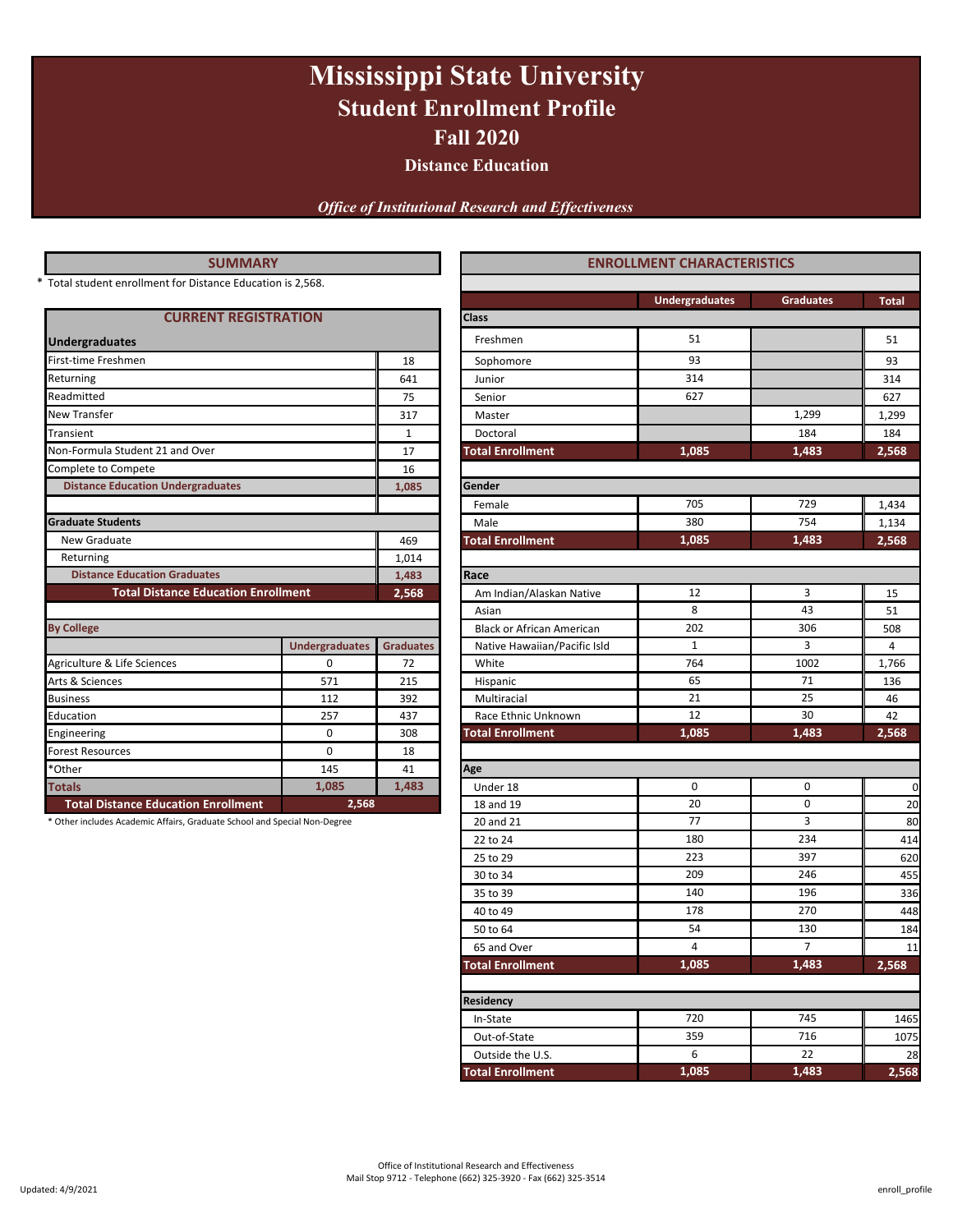# **Mississippi State University Student Enrollment Profile Fall 2020**

**Distance Education**

*Office of Institutional Research and Effectiveness*

| <b>SUMMARY</b>                                                            |                       | <b>ENROLLMENT CHARACTERISTICS</b> |                                  |                       |                |  |
|---------------------------------------------------------------------------|-----------------------|-----------------------------------|----------------------------------|-----------------------|----------------|--|
| * Total student enrollment for Distance Education is 2,568.               |                       |                                   |                                  |                       |                |  |
|                                                                           |                       |                                   |                                  | <b>Undergraduates</b> | Gradua         |  |
| <b>CURRENT REGISTRATION</b>                                               |                       |                                   | <b>Class</b>                     |                       |                |  |
| <b>Undergraduates</b>                                                     |                       |                                   | Freshmen                         | 51                    |                |  |
| First-time Freshmen                                                       |                       | 18                                | Sophomore                        | 93                    |                |  |
| Returning                                                                 |                       | 641                               | Junior                           |                       |                |  |
| Readmitted                                                                |                       | 75                                | Senior                           | 627                   |                |  |
| New Transfer                                                              |                       | 317                               | Master                           |                       | 1,299          |  |
| Transient                                                                 |                       | $\mathbf{1}$                      | Doctoral                         |                       | 184            |  |
| Non-Formula Student 21 and Over                                           |                       | 17                                | <b>Total Enrollment</b>          | 1,085                 | 1,483          |  |
| Complete to Compete                                                       | 16                    |                                   |                                  |                       |                |  |
| <b>Distance Education Undergraduates</b>                                  |                       | 1,085                             | Gender                           |                       |                |  |
|                                                                           |                       |                                   | Female                           | 705                   | 729            |  |
| <b>Graduate Students</b>                                                  |                       |                                   | Male                             | 380                   | 754            |  |
| New Graduate                                                              |                       | 469                               | <b>Total Enrollment</b>          | 1,085                 | 1,483          |  |
| Returning                                                                 |                       | 1,014                             |                                  |                       |                |  |
| <b>Distance Education Graduates</b>                                       |                       | 1,483                             | Race                             |                       |                |  |
| <b>Total Distance Education Enrollment</b>                                |                       | 2,568                             | Am Indian/Alaskan Native         | 12                    | $\overline{3}$ |  |
|                                                                           |                       |                                   | Asian                            | 8                     | 43             |  |
| <b>By College</b>                                                         |                       |                                   | <b>Black or African American</b> | 202                   | 306            |  |
|                                                                           | <b>Undergraduates</b> | <b>Graduates</b>                  | Native Hawaiian/Pacific Isld     | $\mathbf{1}$          | 3              |  |
| Agriculture & Life Sciences                                               | 0                     | 72                                | White                            | 764                   | 1002           |  |
| Arts & Sciences                                                           | 571                   | 215                               | Hispanic                         | 65                    | 71             |  |
| <b>Business</b>                                                           | 112                   | 392                               | Multiracial                      | 21                    | 25             |  |
| Education                                                                 | 257                   | 437                               | Race Ethnic Unknown              | 12                    | 30             |  |
| Engineering                                                               | 0                     | 308                               | <b>Total Enrollment</b>          | 1,085                 | 1,483          |  |
| Forest Resources                                                          | $\mathbf 0$           | 18                                |                                  |                       |                |  |
| *Other                                                                    | 145                   | 41                                | Age                              |                       |                |  |
| <b>Totals</b>                                                             | 1,085                 | 1,483                             | Under 18                         | $\mathbf 0$           | 0              |  |
| <b>Total Distance Education Enrollment</b>                                | 2,568                 |                                   | 18 and 19                        | 20                    | $\mathbf 0$    |  |
| * Other includes Academic Affairs, Graduate School and Special Non-Degree |                       |                                   | 20 and 21                        | 77                    | 3              |  |
|                                                                           |                       |                                   | 22 to 24                         | 180                   | 234            |  |
|                                                                           |                       |                                   |                                  |                       |                |  |

| <b>SUMMARY</b>                                                                                                                                                                                                                                                                                                                                                                                                                                                                                                   |       |                  | <b>ENROLLMENT CHARACTERISTICS</b> |                       |                  |       |  |  |
|------------------------------------------------------------------------------------------------------------------------------------------------------------------------------------------------------------------------------------------------------------------------------------------------------------------------------------------------------------------------------------------------------------------------------------------------------------------------------------------------------------------|-------|------------------|-----------------------------------|-----------------------|------------------|-------|--|--|
|                                                                                                                                                                                                                                                                                                                                                                                                                                                                                                                  |       |                  |                                   |                       |                  |       |  |  |
|                                                                                                                                                                                                                                                                                                                                                                                                                                                                                                                  |       |                  |                                   | <b>Undergraduates</b> | <b>Graduates</b> | Total |  |  |
|                                                                                                                                                                                                                                                                                                                                                                                                                                                                                                                  |       |                  | Class                             |                       |                  |       |  |  |
|                                                                                                                                                                                                                                                                                                                                                                                                                                                                                                                  |       |                  | Freshmen                          | 51                    |                  | 51    |  |  |
|                                                                                                                                                                                                                                                                                                                                                                                                                                                                                                                  |       | 18               | Sophomore                         | 93                    |                  | 93    |  |  |
|                                                                                                                                                                                                                                                                                                                                                                                                                                                                                                                  |       | 641              | Junior                            | 314                   |                  | 314   |  |  |
| <b>CURRENT REGISTRATION</b><br><b>Distance Education Undergraduates</b><br>New Graduate<br>Returning<br><b>Distance Education Graduates</b><br><b>Total Distance Education Enrollment</b><br>0<br>571<br>112<br>257<br>0<br>0<br>145<br>1,085<br><b>Total Distance Education Enrollment</b>                                                                                                                                                                                                                      |       | 75               | Senior                            | 627                   |                  | 627   |  |  |
| Total student enrollment for Distance Education is 2,568.<br><b>Undergraduates</b><br>First-time Freshmen<br>Returning<br>Readmitted<br>New Transfer<br>Transient<br>Non-Formula Student 21 and Over<br>Complete to Compete<br><b>Graduate Students</b><br><b>By College</b><br>Agriculture & Life Sciences<br>Arts & Sciences<br><b>Business</b><br>Education<br>Engineering<br><b>Forest Resources</b><br>*Other<br><b>Totals</b><br>* Other includes Academic Affairs, Graduate School and Special Non-Degree |       | 317              | Master                            |                       | 1,299            | 1,299 |  |  |
|                                                                                                                                                                                                                                                                                                                                                                                                                                                                                                                  |       | 1                | Doctoral                          |                       | 184              | 184   |  |  |
|                                                                                                                                                                                                                                                                                                                                                                                                                                                                                                                  |       | 17               | <b>Total Enrollment</b>           | 1,085                 | 1,483            | 2,568 |  |  |
|                                                                                                                                                                                                                                                                                                                                                                                                                                                                                                                  |       | 16               |                                   |                       |                  |       |  |  |
|                                                                                                                                                                                                                                                                                                                                                                                                                                                                                                                  |       | 1,085            | Gender                            |                       |                  |       |  |  |
|                                                                                                                                                                                                                                                                                                                                                                                                                                                                                                                  |       |                  | Female                            | 705                   | 729              | 1,434 |  |  |
|                                                                                                                                                                                                                                                                                                                                                                                                                                                                                                                  |       |                  | Male                              | 380                   | 754              | 1,134 |  |  |
| <b>Undergraduates</b>                                                                                                                                                                                                                                                                                                                                                                                                                                                                                            |       | 469              | <b>Total Enrollment</b>           | 1,085                 | 1,483            | 2,568 |  |  |
|                                                                                                                                                                                                                                                                                                                                                                                                                                                                                                                  |       | 1,014            |                                   |                       |                  |       |  |  |
|                                                                                                                                                                                                                                                                                                                                                                                                                                                                                                                  |       | 1,483            | Race                              |                       |                  |       |  |  |
|                                                                                                                                                                                                                                                                                                                                                                                                                                                                                                                  |       | 2,568            | Am Indian/Alaskan Native          | 12                    | 3                | 15    |  |  |
|                                                                                                                                                                                                                                                                                                                                                                                                                                                                                                                  |       |                  | Asian                             | 8                     | 43               | 51    |  |  |
|                                                                                                                                                                                                                                                                                                                                                                                                                                                                                                                  |       |                  | <b>Black or African American</b>  | 202                   | 306              | 508   |  |  |
|                                                                                                                                                                                                                                                                                                                                                                                                                                                                                                                  |       | <b>Graduates</b> | Native Hawaiian/Pacific Isld      | 1                     | 3                | 4     |  |  |
|                                                                                                                                                                                                                                                                                                                                                                                                                                                                                                                  |       | 72               | White                             | 764                   | 1002             | 1,766 |  |  |
|                                                                                                                                                                                                                                                                                                                                                                                                                                                                                                                  |       | 215              | Hispanic                          | 65                    | 71               | 136   |  |  |
|                                                                                                                                                                                                                                                                                                                                                                                                                                                                                                                  |       | 392              | Multiracial                       | 21                    | 25               | 46    |  |  |
|                                                                                                                                                                                                                                                                                                                                                                                                                                                                                                                  |       | 437              | Race Ethnic Unknown               | 12                    | 30               | 42    |  |  |
|                                                                                                                                                                                                                                                                                                                                                                                                                                                                                                                  |       | 308              | <b>Total Enrollment</b>           | 1,085                 | 1,483            | 2,568 |  |  |
|                                                                                                                                                                                                                                                                                                                                                                                                                                                                                                                  |       | 18               |                                   |                       |                  |       |  |  |
|                                                                                                                                                                                                                                                                                                                                                                                                                                                                                                                  |       | 41               | Age                               |                       |                  |       |  |  |
|                                                                                                                                                                                                                                                                                                                                                                                                                                                                                                                  |       | 1,483            | Under 18                          | 0                     | 0                | C     |  |  |
|                                                                                                                                                                                                                                                                                                                                                                                                                                                                                                                  | 2,568 |                  | 18 and 19                         | 20                    | 0                | 20    |  |  |
|                                                                                                                                                                                                                                                                                                                                                                                                                                                                                                                  |       |                  | 20 and 21                         | 77                    | 3                | 80    |  |  |
|                                                                                                                                                                                                                                                                                                                                                                                                                                                                                                                  |       |                  | 22 to 24                          | 180                   | 234              | 414   |  |  |
|                                                                                                                                                                                                                                                                                                                                                                                                                                                                                                                  |       |                  | 25 to 29                          | 223                   | 397              | 62C   |  |  |
|                                                                                                                                                                                                                                                                                                                                                                                                                                                                                                                  |       |                  | 30 to 34                          | 209                   | 246              | 455   |  |  |
|                                                                                                                                                                                                                                                                                                                                                                                                                                                                                                                  |       |                  | 35 to 39                          | 140                   | 196              | 336   |  |  |
|                                                                                                                                                                                                                                                                                                                                                                                                                                                                                                                  |       |                  | 40 to 49                          | 178                   | 270              | 448   |  |  |
|                                                                                                                                                                                                                                                                                                                                                                                                                                                                                                                  |       |                  | 50 to 64                          | 54                    | 130              | 184   |  |  |
|                                                                                                                                                                                                                                                                                                                                                                                                                                                                                                                  |       |                  | 65 and Over                       | 4                     | $\overline{7}$   | 11    |  |  |
|                                                                                                                                                                                                                                                                                                                                                                                                                                                                                                                  |       |                  | <b>Total Enrollment</b>           | 1,085                 | 1,483            | 2,568 |  |  |
|                                                                                                                                                                                                                                                                                                                                                                                                                                                                                                                  |       |                  | Residency                         |                       |                  |       |  |  |
|                                                                                                                                                                                                                                                                                                                                                                                                                                                                                                                  |       |                  | In-State                          | 720                   | 745              | 1465  |  |  |
|                                                                                                                                                                                                                                                                                                                                                                                                                                                                                                                  |       |                  | Out-of-State                      | 359                   | 716              | 1075  |  |  |
|                                                                                                                                                                                                                                                                                                                                                                                                                                                                                                                  |       |                  | Outside the U.S.                  | 6                     | 22               | 28    |  |  |
|                                                                                                                                                                                                                                                                                                                                                                                                                                                                                                                  |       |                  | <b>Total Enrollment</b>           | 1,085                 | 1,483            | 2,568 |  |  |